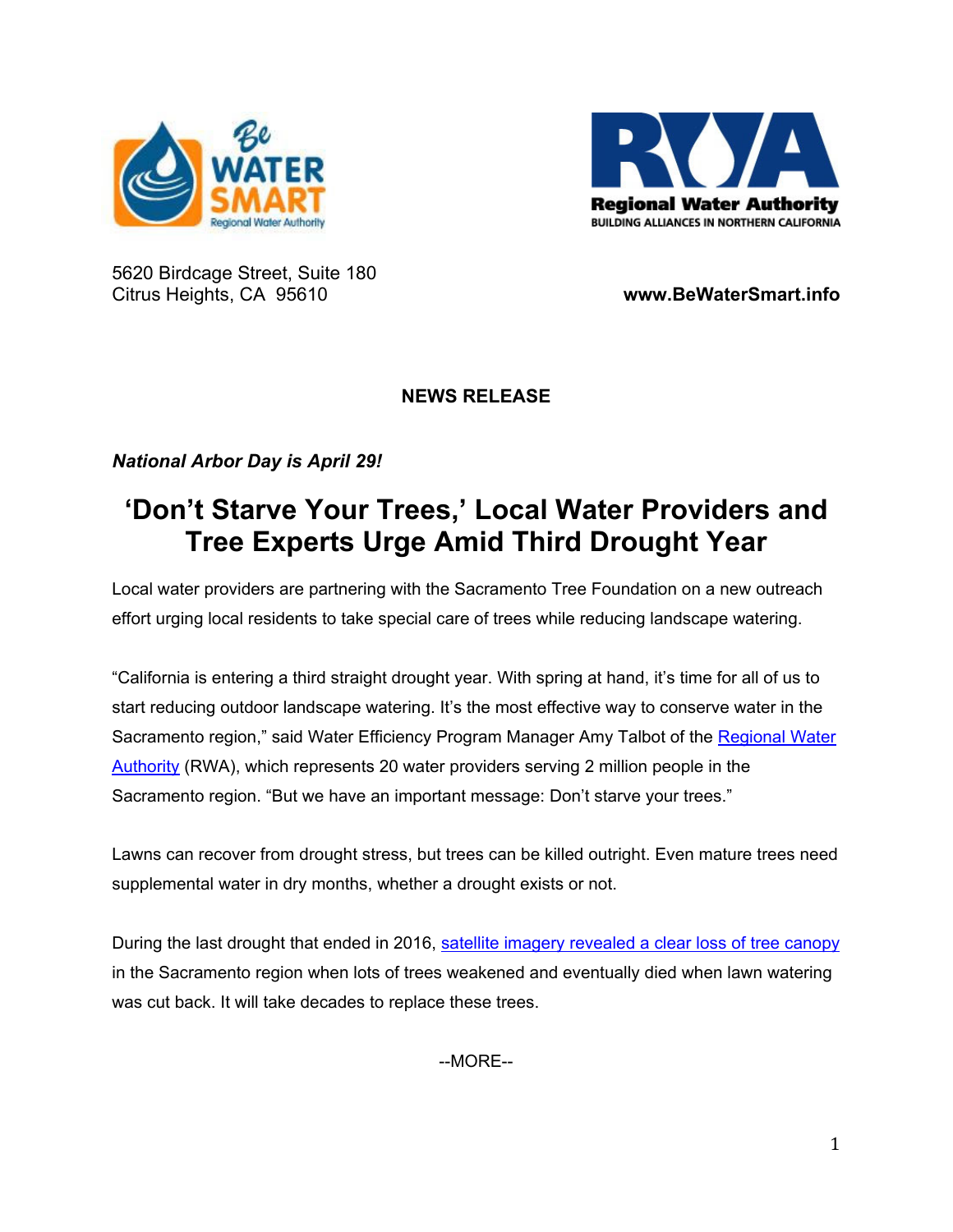



5620 Birdcage Street, Suite 180 Citrus Heights, CA 95610 **www.BeWaterSmart.info** 

## **NEWS RELEASE**

*National Arbor Day is April 29!* 

## **'Don't Starve Your Trees,' Local Water Providers and Tree Experts Urge Amid Third Drought Year**

Local water providers are partnering with the Sacramento Tree Foundation on a new outreach effort urging local residents to take special care of trees while reducing landscape watering.

"California is entering a third straight drought year. With spring at hand, it's time for all of us to start reducing outdoor landscape watering. It's the most effective way to conserve water in the Sacramento region," said Water Efficiency Program Manager Amy Talbot of the Regional Water Authority (RWA), which represents 20 water providers serving 2 million people in the Sacramento region. "But we have an important message: Don't starve your trees."

Lawns can recover from drought stress, but trees can be killed outright. Even mature trees need supplemental water in dry months, whether a drought exists or not.

During the last drought that ended in 2016, [satellite imagery revealed a clear loss of tree canopy](https://sactree.org/lessons-learned-from-the-last-drought/) in the Sacramento region when lots of trees weakened and eventually died when lawn watering was cut back. It will take decades to replace these trees.

--MORE--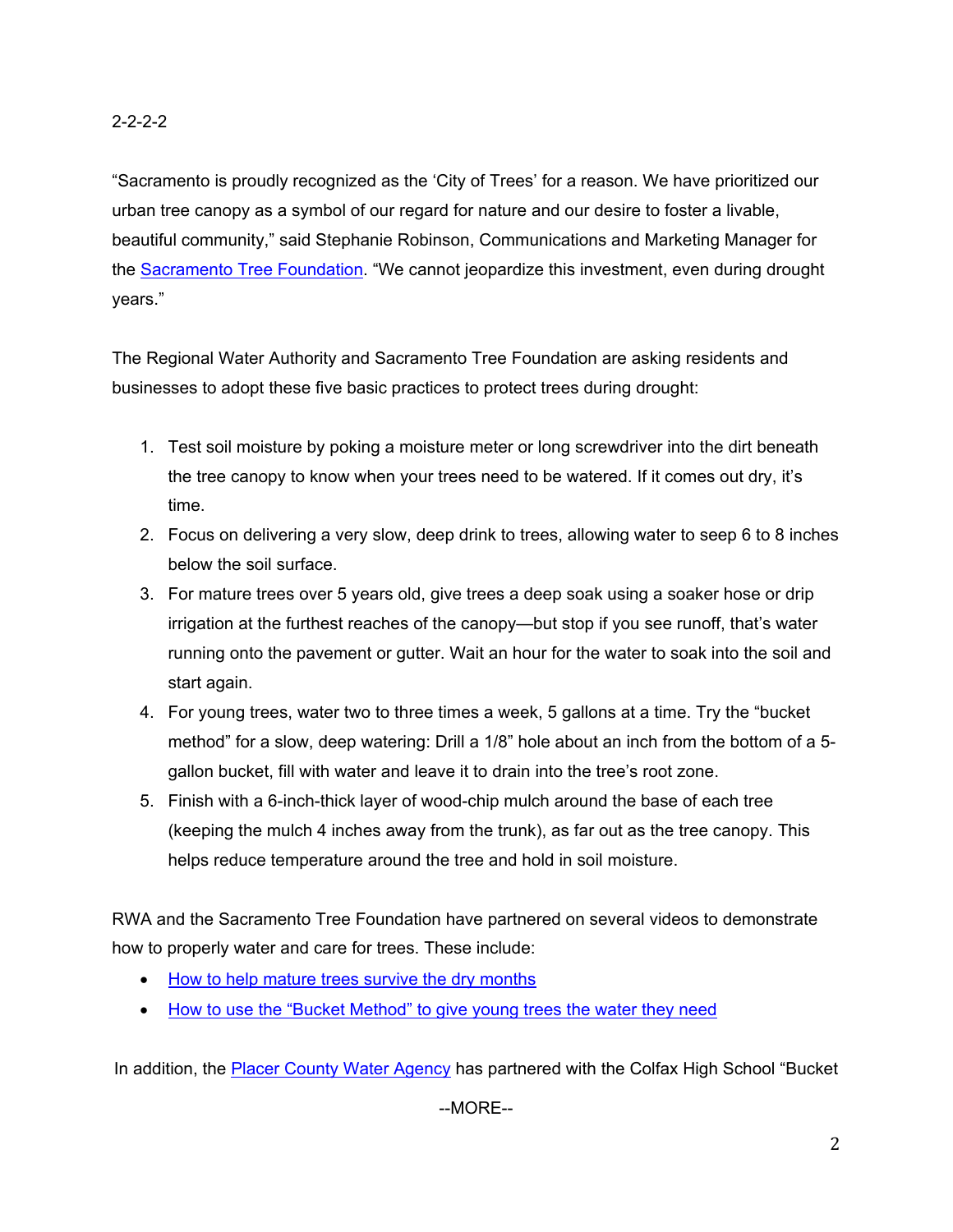"Sacramento is proudly recognized as the 'City of Trees' for a reason. We have prioritized our urban tree canopy as a symbol of our regard for nature and our desire to foster a livable, beautiful community," said Stephanie Robinson, Communications and Marketing Manager for the **Sacramento Tree Foundation**. "We cannot jeopardize this investment, even during drought years."

The Regional Water Authority and Sacramento Tree Foundation are asking residents and businesses to adopt these five basic practices to protect trees during drought:

- 1. Test soil moisture by poking a moisture meter or long screwdriver into the dirt beneath the tree canopy to know when your trees need to be watered. If it comes out dry, it's time.
- 2. Focus on delivering a very slow, deep drink to trees, allowing water to seep 6 to 8 inches below the soil surface.
- 3. For mature trees over 5 years old, give trees a deep soak using a soaker hose or drip irrigation at the furthest reaches of the canopy—but stop if you see runoff, that's water running onto the pavement or gutter. Wait an hour for the water to soak into the soil and start again.
- 4. For young trees, water two to three times a week, 5 gallons at a time. Try the "bucket method" for a slow, deep watering: Drill a 1/8" hole about an inch from the bottom of a 5 gallon bucket, fill with water and leave it to drain into the tree's root zone.
- 5. Finish with a 6-inch-thick layer of wood-chip mulch around the base of each tree (keeping the mulch 4 inches away from the trunk), as far out as the tree canopy. This helps reduce temperature around the tree and hold in soil moisture.

RWA and the Sacramento Tree Foundation have partnered on several videos to demonstrate how to properly water and care for trees. These include:

- [How to help mature trees survive the dry months](https://www.youtube.com/watch?v=VmBmDHVYI1k)
- [How to use the "Bucket Method" to give young trees the water they need](https://www.youtube.com/watch?app=desktop&v=tN4DguyQn2s)

In addition, the **Placer County Water Agency** has partnered with the Colfax High School "Bucket